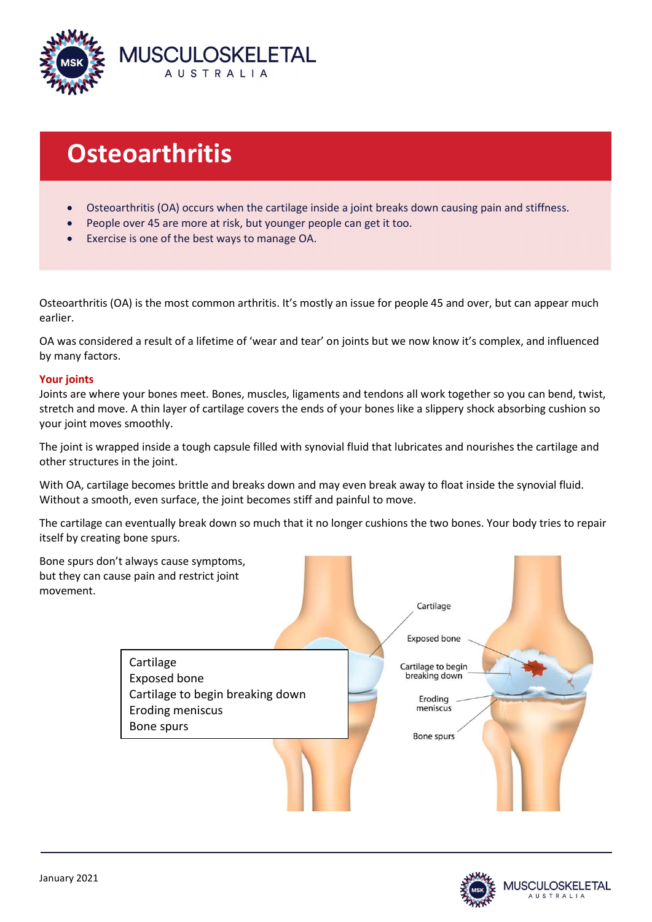

# **Osteoarthritis**

- Osteoarthritis (OA) occurs when the cartilage inside a joint breaks down causing pain and stiffness.
- People over 45 are more at risk, but younger people can get it too.
- Exercise is one of the best ways to manage OA.

Osteoarthritis (OA) is the most common arthritis. It's mostly an issue for people 45 and over, but can appear much earlier.

OA was considered a result of a lifetime of 'wear and tear' on joints but we now know it's complex, and influenced by many factors.

## Your joints

Joints are where your bones meet. Bones, muscles, ligaments and tendons all work together so you can bend, twist, stretch and move. A thin layer of cartilage covers the ends of your bones like a slippery shock absorbing cushion so your joint moves smoothly.

The joint is wrapped inside a tough capsule filled with synovial fluid that lubricates and nourishes the cartilage and other structures in the joint.

With OA, cartilage becomes brittle and breaks down and may even break away to float inside the synovial fluid. Without a smooth, even surface, the joint becomes stiff and painful to move.

The cartilage can eventually break down so much that it no longer cushions the two bones. Your body tries to repair itself by creating bone spurs.



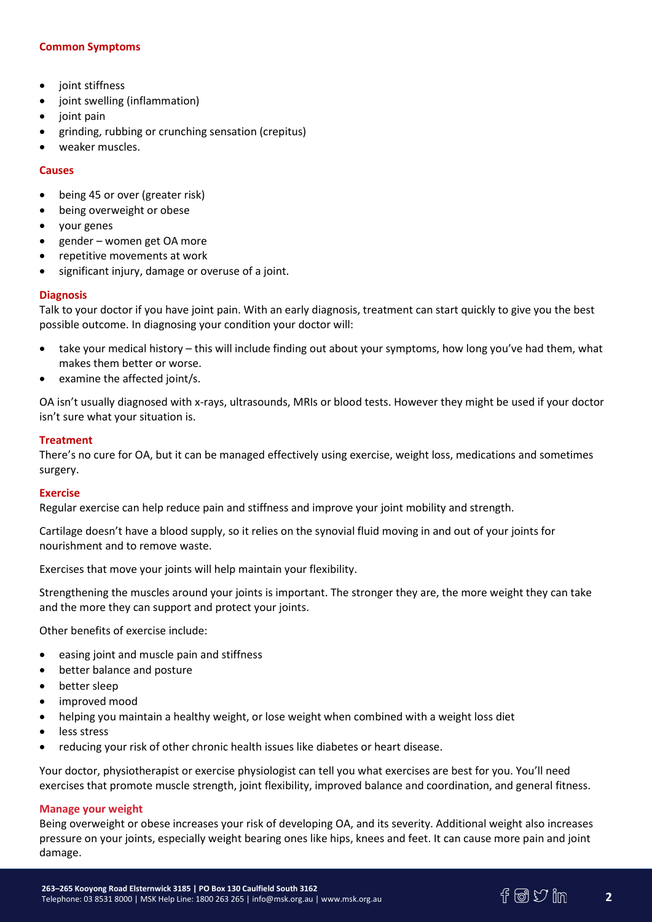# Common Symptoms

- joint stiffness
- joint swelling (inflammation)
- joint pain
- grinding, rubbing or crunching sensation (crepitus)
- weaker muscles.

## Causes

- being 45 or over (greater risk)
- being overweight or obese
- your genes
- gender women get OA more
- repetitive movements at work
- significant injury, damage or overuse of a joint.

# **Diagnosis**

Talk to your doctor if you have joint pain. With an early diagnosis, treatment can start quickly to give you the best possible outcome. In diagnosing your condition your doctor will:

- take your medical history this will include finding out about your symptoms, how long you've had them, what makes them better or worse.
- examine the affected joint/s.

OA isn't usually diagnosed with x-rays, ultrasounds, MRIs or blood tests. However they might be used if your doctor isn't sure what your situation is.

## **Treatment**

There's no cure for OA, but it can be managed effectively using exercise, weight loss, medications and sometimes surgery.

## Exercise

Regular exercise can help reduce pain and stiffness and improve your joint mobility and strength.

Cartilage doesn't have a blood supply, so it relies on the synovial fluid moving in and out of your joints for nourishment and to remove waste.

Exercises that move your joints will help maintain your flexibility.

Strengthening the muscles around your joints is important. The stronger they are, the more weight they can take and the more they can support and protect your joints.

Other benefits of exercise include:

- easing joint and muscle pain and stiffness
- better balance and posture
- better sleep
- improved mood
- helping you maintain a healthy weight, or lose weight when combined with a weight loss diet
- less stress
- reducing your risk of other chronic health issues like diabetes or heart disease.

Your doctor, physiotherapist or exercise physiologist can tell you what exercises are best for you. You'll need exercises that promote muscle strength, joint flexibility, improved balance and coordination, and general fitness.

## Manage your weight

Being overweight or obese increases your risk of developing OA, and its severity. Additional weight also increases pressure on your joints, especially weight bearing ones like hips, knees and feet. It can cause more pain and joint damage.

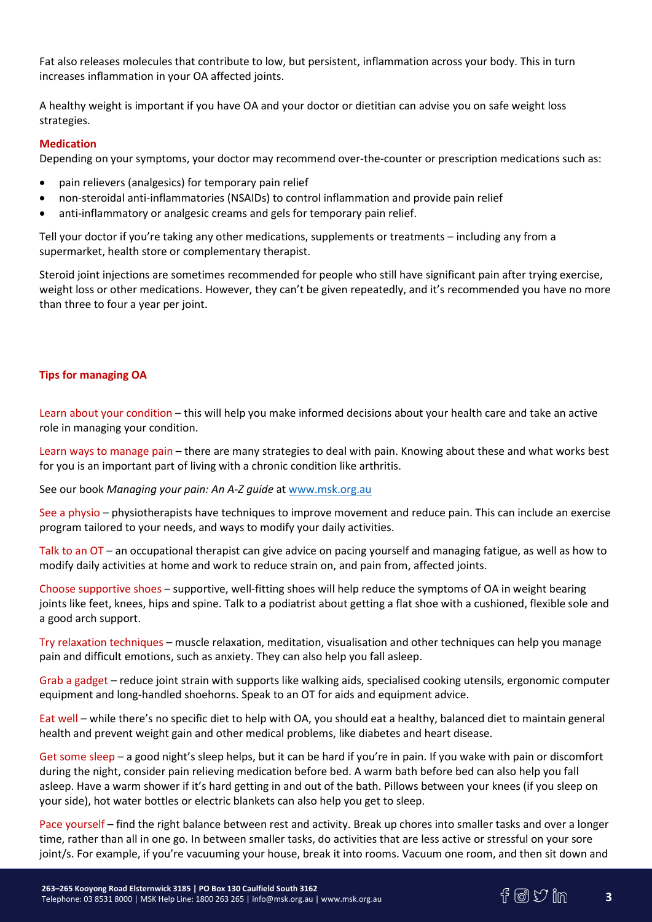Fat also releases molecules that contribute to low, but persistent, inflammation across your body. This in turn increases inflammation in your OA affected joints.

A healthy weight is important if you have OA and your doctor or dietitian can advise you on safe weight loss strategies.

## Medication

Depending on your symptoms, your doctor may recommend over-the-counter or prescription medications such as:

- pain relievers (analgesics) for temporary pain relief
- non-steroidal anti-inflammatories (NSAIDs) to control inflammation and provide pain relief
- anti-inflammatory or analgesic creams and gels for temporary pain relief.

Tell your doctor if you're taking any other medications, supplements or treatments – including any from a supermarket, health store or complementary therapist.

Steroid joint injections are sometimes recommended for people who still have significant pain after trying exercise, weight loss or other medications. However, they can't be given repeatedly, and it's recommended you have no more than three to four a year per joint.

# Tips for managing OA

Learn about your condition – this will help you make informed decisions about your health care and take an active role in managing your condition.

Learn ways to manage pain – there are many strategies to deal with pain. Knowing about these and what works best for you is an important part of living with a chronic condition like arthritis.

See our book Managing your pain: An A-Z guide at www.msk.org.au

See a physio – physiotherapists have techniques to improve movement and reduce pain. This can include an exercise program tailored to your needs, and ways to modify your daily activities.

Talk to an OT – an occupational therapist can give advice on pacing yourself and managing fatigue, as well as how to modify daily activities at home and work to reduce strain on, and pain from, affected joints.

Choose supportive shoes – supportive, well-fitting shoes will help reduce the symptoms of OA in weight bearing joints like feet, knees, hips and spine. Talk to a podiatrist about getting a flat shoe with a cushioned, flexible sole and a good arch support.

Try relaxation techniques – muscle relaxation, meditation, visualisation and other techniques can help you manage pain and difficult emotions, such as anxiety. They can also help you fall asleep.

Grab a gadget – reduce joint strain with supports like walking aids, specialised cooking utensils, ergonomic computer equipment and long-handled shoehorns. Speak to an OT for aids and equipment advice.

Eat well – while there's no specific diet to help with OA, you should eat a healthy, balanced diet to maintain general health and prevent weight gain and other medical problems, like diabetes and heart disease.

Get some sleep – a good night's sleep helps, but it can be hard if you're in pain. If you wake with pain or discomfort during the night, consider pain relieving medication before bed. A warm bath before bed can also help you fall asleep. Have a warm shower if it's hard getting in and out of the bath. Pillows between your knees (if you sleep on your side), hot water bottles or electric blankets can also help you get to sleep.

Pace yourself – find the right balance between rest and activity. Break up chores into smaller tasks and over a longer time, rather than all in one go. In between smaller tasks, do activities that are less active or stressful on your sore joint/s. For example, if you're vacuuming your house, break it into rooms. Vacuum one room, and then sit down and



3